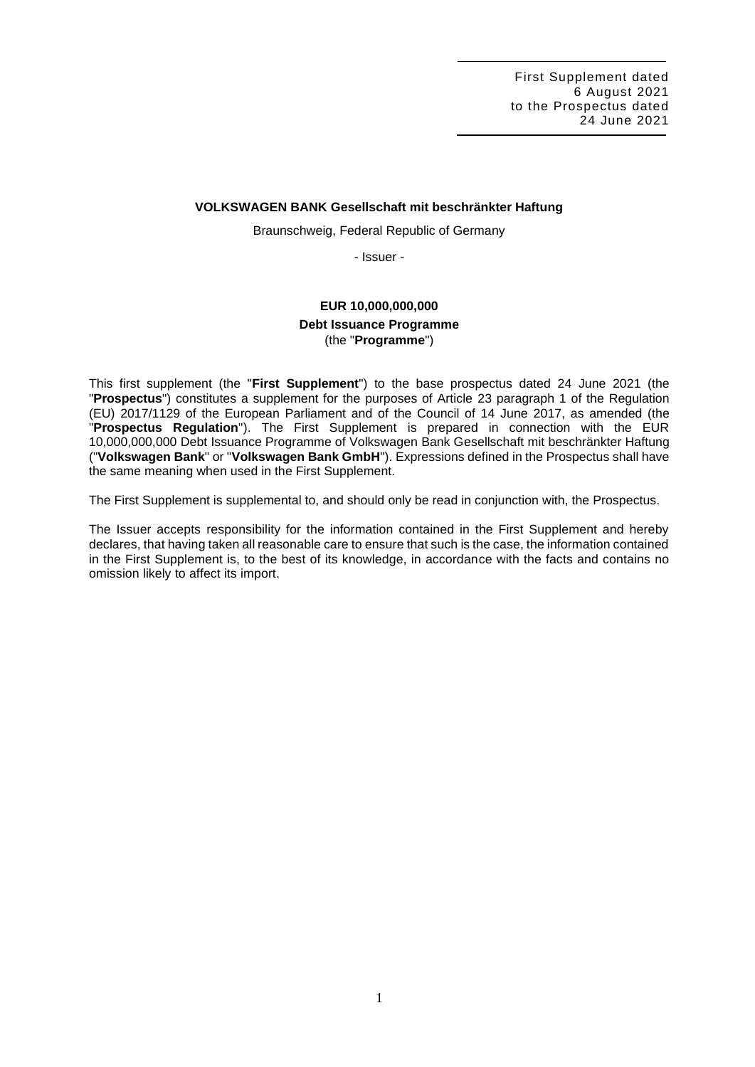### **VOLKSWAGEN BANK Gesellschaft mit beschränkter Haftung**

Braunschweig, Federal Republic of Germany

- Issuer -

# **EUR 10,000,000,000 Debt Issuance Programme** (the "**Programme**")

This first supplement (the "**First Supplement**") to the base prospectus dated 24 June 2021 (the "**Prospectus**") constitutes a supplement for the purposes of Article 23 paragraph 1 of the Regulation (EU) 2017/1129 of the European Parliament and of the Council of 14 June 2017, as amended (the "**Prospectus Regulation**"). The First Supplement is prepared in connection with the EUR 10,000,000,000 Debt Issuance Programme of Volkswagen Bank Gesellschaft mit beschränkter Haftung ("**Volkswagen Bank**" or "**Volkswagen Bank GmbH**"). Expressions defined in the Prospectus shall have the same meaning when used in the First Supplement.

The First Supplement is supplemental to, and should only be read in conjunction with, the Prospectus.

The Issuer accepts responsibility for the information contained in the First Supplement and hereby declares, that having taken all reasonable care to ensure that such is the case, the information contained in the First Supplement is, to the best of its knowledge, in accordance with the facts and contains no omission likely to affect its import.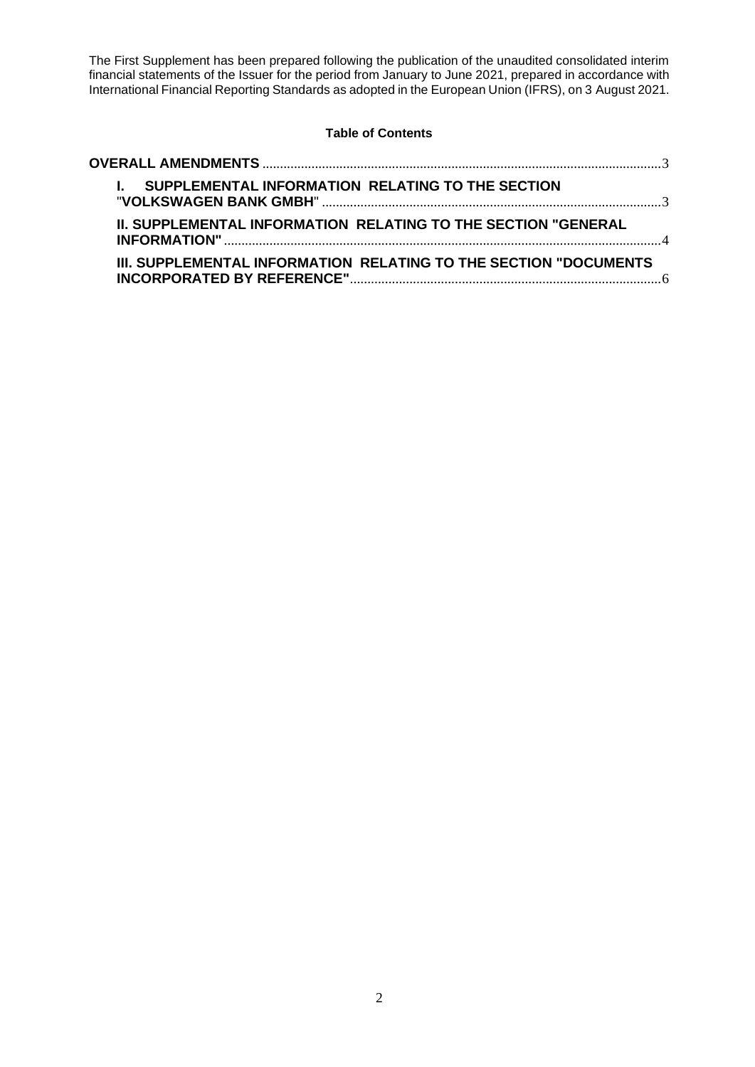The First Supplement has been prepared following the publication of the unaudited consolidated interim financial statements of the Issuer for the period from January to June 2021, prepared in accordance with International Financial Reporting Standards as adopted in the European Union (IFRS), on 3 August 2021.

# **Table of Contents**

| I. SUPPLEMENTAL INFORMATION RELATING TO THE SECTION                     |  |
|-------------------------------------------------------------------------|--|
| <b>II. SUPPLEMENTAL INFORMATION RELATING TO THE SECTION "GENERAL</b>    |  |
| <b>III. SUPPLEMENTAL INFORMATION RELATING TO THE SECTION "DOCUMENTS</b> |  |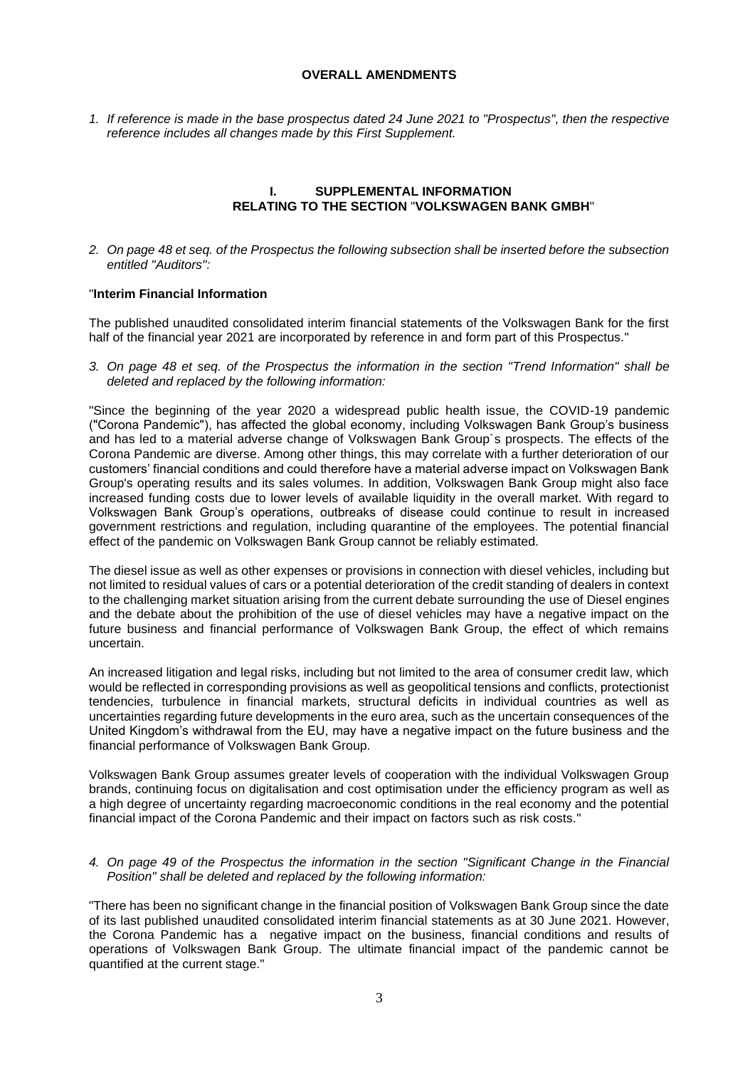### **OVERALL AMENDMENTS**

<span id="page-2-0"></span>*1. If reference is made in the base prospectus dated 24 June 2021 to "Prospectus", then the respective reference includes all changes made by this First Supplement.*

# **I. SUPPLEMENTAL INFORMATION RELATING TO THE SECTION** "**VOLKSWAGEN BANK GMBH**"

<span id="page-2-1"></span>*2. On page 48 et seq. of the Prospectus the following subsection shall be inserted before the subsection entitled "Auditors":*

## "**Interim Financial Information**

The published unaudited consolidated interim financial statements of the Volkswagen Bank for the first half of the financial year 2021 are incorporated by reference in and form part of this Prospectus."

*3. On page 48 et seq. of the Prospectus the information in the section "Trend Information" shall be deleted and replaced by the following information:*

"Since the beginning of the year 2020 a widespread public health issue, the COVID-19 pandemic ("Corona Pandemic"), has affected the global economy, including Volkswagen Bank Group's business and has led to a material adverse change of Volkswagen Bank Group`s prospects. The effects of the Corona Pandemic are diverse. Among other things, this may correlate with a further deterioration of our customers' financial conditions and could therefore have a material adverse impact on Volkswagen Bank Group's operating results and its sales volumes. In addition, Volkswagen Bank Group might also face increased funding costs due to lower levels of available liquidity in the overall market. With regard to Volkswagen Bank Group's operations, outbreaks of disease could continue to result in increased government restrictions and regulation, including quarantine of the employees. The potential financial effect of the pandemic on Volkswagen Bank Group cannot be reliably estimated.

The diesel issue as well as other expenses or provisions in connection with diesel vehicles, including but not limited to residual values of cars or a potential deterioration of the credit standing of dealers in context to the challenging market situation arising from the current debate surrounding the use of Diesel engines and the debate about the prohibition of the use of diesel vehicles may have a negative impact on the future business and financial performance of Volkswagen Bank Group, the effect of which remains uncertain.

An increased litigation and legal risks, including but not limited to the area of consumer credit law, which would be reflected in corresponding provisions as well as geopolitical tensions and conflicts, protectionist tendencies, turbulence in financial markets, structural deficits in individual countries as well as uncertainties regarding future developments in the euro area, such as the uncertain consequences of the United Kingdom's withdrawal from the EU, may have a negative impact on the future business and the financial performance of Volkswagen Bank Group.

Volkswagen Bank Group assumes greater levels of cooperation with the individual Volkswagen Group brands, continuing focus on digitalisation and cost optimisation under the efficiency program as well as a high degree of uncertainty regarding macroeconomic conditions in the real economy and the potential financial impact of the Corona Pandemic and their impact on factors such as risk costs."

#### *4. On page 49 of the Prospectus the information in the section "Significant Change in the Financial Position" shall be deleted and replaced by the following information:*

"There has been no significant change in the financial position of Volkswagen Bank Group since the date of its last published unaudited consolidated interim financial statements as at 30 June 2021. However, the Corona Pandemic has a negative impact on the business, financial conditions and results of operations of Volkswagen Bank Group. The ultimate financial impact of the pandemic cannot be quantified at the current stage."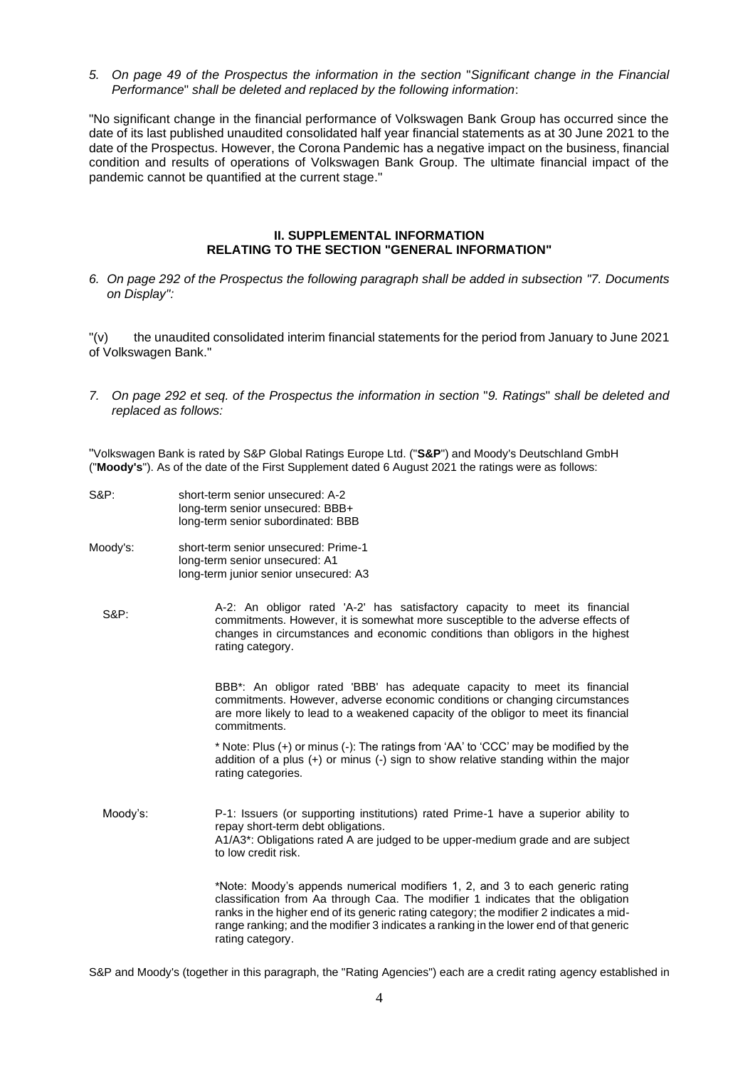*5. On page 49 of the Prospectus the information in the section* "*Significant change in the Financial Performance*" *shall be deleted and replaced by the following information*:

"No significant change in the financial performance of Volkswagen Bank Group has occurred since the date of its last published unaudited consolidated half year financial statements as at 30 June 2021 to the date of the Prospectus. However, the Corona Pandemic has a negative impact on the business, financial condition and results of operations of Volkswagen Bank Group. The ultimate financial impact of the pandemic cannot be quantified at the current stage."

#### **II. SUPPLEMENTAL INFORMATION RELATING TO THE SECTION "GENERAL INFORMATION"**

<span id="page-3-0"></span>*6. On page 292 of the Prospectus the following paragraph shall be added in subsection "7. Documents on Display":*

"(v) the unaudited consolidated interim financial statements for the period from January to June 2021 of Volkswagen Bank."

*7. On page 292 et seq. of the Prospectus the information in section* "*9. Ratings*" *shall be deleted and replaced as follows:*

"Volkswagen Bank is rated by S&P Global Ratings Europe Ltd. ("**S&P**") and Moody's Deutschland GmbH ("**Moody's**"). As of the date of the First Supplement dated 6 August 2021 the ratings were as follows:

- S&P: short-term senior unsecured: A-2 long-term senior unsecured: BBB+ long-term senior subordinated: BBB
- Moody's: short-term senior unsecured: Prime-1 long-term senior unsecured: A1 long-term junior senior unsecured: A3
	- S&P: A-2: An obligor rated 'A-2' has satisfactory capacity to meet its financial commitments. However, it is somewhat more susceptible to the adverse effects of changes in circumstances and economic conditions than obligors in the highest rating category.

BBB\*: An obligor rated 'BBB' has adequate capacity to meet its financial commitments. However, adverse economic conditions or changing circumstances are more likely to lead to a weakened capacity of the obligor to meet its financial commitments.

\* Note: Plus (+) or minus (-): The ratings from 'AA' to 'CCC' may be modified by the addition of a plus (+) or minus (-) sign to show relative standing within the major rating categories.

Moody's: P-1: Issuers (or supporting institutions) rated Prime-1 have a superior ability to repay short-term debt obligations. A1/A3\*: Obligations rated A are judged to be upper-medium grade and are subject to low credit risk.

> \*Note: Moody's appends numerical modifiers 1, 2, and 3 to each generic rating classification from Aa through Caa. The modifier 1 indicates that the obligation ranks in the higher end of its generic rating category; the modifier 2 indicates a midrange ranking; and the modifier 3 indicates a ranking in the lower end of that generic rating category.

S&P and Moody's (together in this paragraph, the "Rating Agencies") each are a credit rating agency established in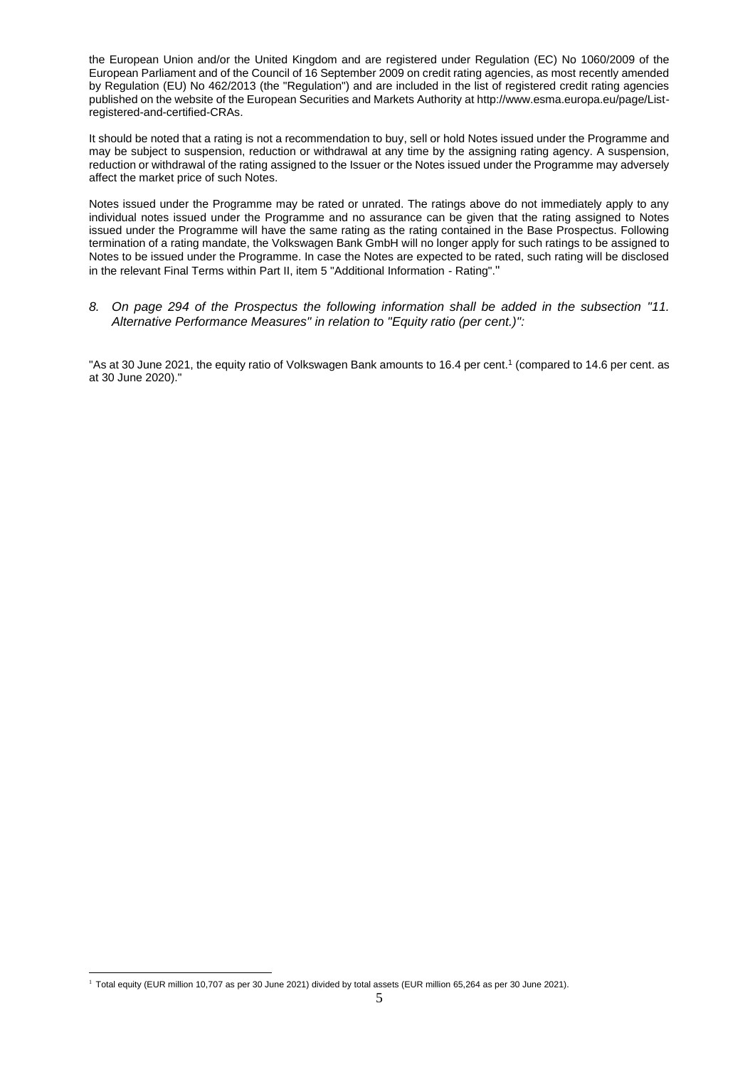the European Union and/or the United Kingdom and are registered under Regulation (EC) No 1060/2009 of the European Parliament and of the Council of 16 September 2009 on credit rating agencies, as most recently amended by Regulation (EU) No 462/2013 (the "Regulation") and are included in the list of registered credit rating agencies published on the website of the European Securities and Markets Authority at http://www.esma.europa.eu/page/Listregistered-and-certified-CRAs.

It should be noted that a rating is not a recommendation to buy, sell or hold Notes issued under the Programme and may be subject to suspension, reduction or withdrawal at any time by the assigning rating agency. A suspension, reduction or withdrawal of the rating assigned to the Issuer or the Notes issued under the Programme may adversely affect the market price of such Notes.

Notes issued under the Programme may be rated or unrated. The ratings above do not immediately apply to any individual notes issued under the Programme and no assurance can be given that the rating assigned to Notes issued under the Programme will have the same rating as the rating contained in the Base Prospectus. Following termination of a rating mandate, the Volkswagen Bank GmbH will no longer apply for such ratings to be assigned to Notes to be issued under the Programme. In case the Notes are expected to be rated, such rating will be disclosed in the relevant Final Terms within Part II, item 5 "Additional Information - Rating"."

#### *8. On page 294 of the Prospectus the following information shall be added in the subsection "11. Alternative Performance Measures" in relation to "Equity ratio (per cent.)":*

"As at 30 June 2021, the equity ratio of Volkswagen Bank amounts to 16.4 per cent.<sup>1</sup> (compared to 14.6 per cent. as at 30 June 2020)."

<sup>&</sup>lt;sup>1</sup> Total equity (EUR million 10,707 as per 30 June 2021) divided by total assets (EUR million 65,264 as per 30 June 2021).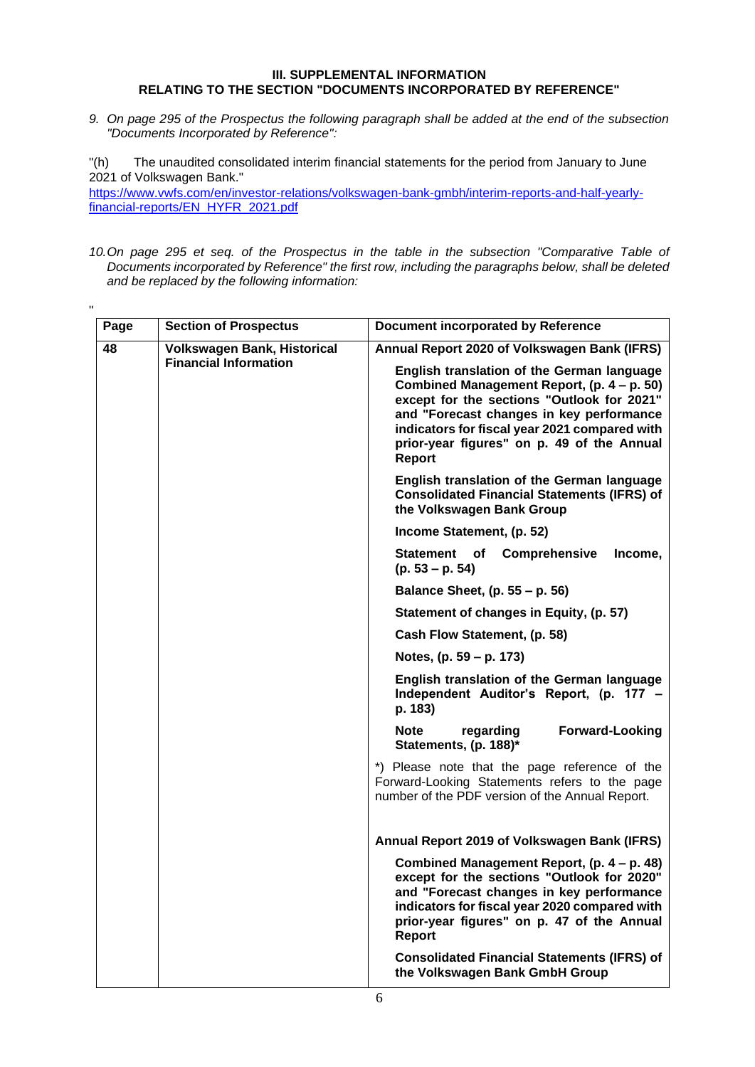### **III. SUPPLEMENTAL INFORMATION RELATING TO THE SECTION "DOCUMENTS INCORPORATED BY REFERENCE"**

<span id="page-5-0"></span>*9. On page 295 of the Prospectus the following paragraph shall be added at the end of the subsection "Documents Incorporated by Reference":*

"(h) The unaudited consolidated interim financial statements for the period from January to June 2021 of Volkswagen Bank."

[https://www.vwfs.com/en/investor-relations/volkswagen-bank-gmbh/interim-reports-and-half-yearly](https://www.vwfs.com/en/investor-relations/volkswagen-bank-gmbh/interim-reports-and-half-yearly-financial-reports/_jcr_content/content/section/section_parsys/downloadlist/downloadlist_parsys/downloaditem_copy_co_1242239382/downloadbutton.download.pdf/EN_HJFB%25202021%2520VW%2520Bank%2520GmbH_s.pdf)[financial-reports/EN\\_HYFR\\_2021.pdf](https://www.vwfs.com/en/investor-relations/volkswagen-bank-gmbh/interim-reports-and-half-yearly-financial-reports/_jcr_content/content/section/section_parsys/downloadlist/downloadlist_parsys/downloaditem_copy_co_1242239382/downloadbutton.download.pdf/EN_HJFB%25202021%2520VW%2520Bank%2520GmbH_s.pdf)

*10.On page 295 et seq. of the Prospectus in the table in the subsection "Comparative Table of Documents incorporated by Reference" the first row, including the paragraphs below, shall be deleted and be replaced by the following information:*

| <b>Section of Prospectus</b>                                       | Document incorporated by Reference                                                                                                                                                                                                                                                                 |
|--------------------------------------------------------------------|----------------------------------------------------------------------------------------------------------------------------------------------------------------------------------------------------------------------------------------------------------------------------------------------------|
| <b>Volkswagen Bank, Historical</b><br><b>Financial Information</b> | Annual Report 2020 of Volkswagen Bank (IFRS)                                                                                                                                                                                                                                                       |
|                                                                    | English translation of the German language<br>Combined Management Report, (p. 4 – p. 50)<br>except for the sections "Outlook for 2021"<br>and "Forecast changes in key performance<br>indicators for fiscal year 2021 compared with<br>prior-year figures" on p. 49 of the Annual<br><b>Report</b> |
|                                                                    | <b>English translation of the German language</b><br><b>Consolidated Financial Statements (IFRS) of</b><br>the Volkswagen Bank Group                                                                                                                                                               |
|                                                                    | Income Statement, (p. 52)                                                                                                                                                                                                                                                                          |
|                                                                    | Comprehensive<br>Income,<br>Statement<br>of<br>$(p. 53 - p. 54)$                                                                                                                                                                                                                                   |
|                                                                    | Balance Sheet, (p. 55 – p. 56)                                                                                                                                                                                                                                                                     |
|                                                                    | Statement of changes in Equity, (p. 57)                                                                                                                                                                                                                                                            |
|                                                                    | Cash Flow Statement, (p. 58)                                                                                                                                                                                                                                                                       |
|                                                                    | Notes, (p. 59 – p. 173)                                                                                                                                                                                                                                                                            |
|                                                                    | <b>English translation of the German language</b><br>Independent Auditor's Report, (p. 177 -<br>p. 183)                                                                                                                                                                                            |
|                                                                    | <b>Forward-Looking</b><br><b>Note</b><br>regarding<br>Statements, (p. 188)*                                                                                                                                                                                                                        |
|                                                                    | *) Please note that the page reference of the<br>Forward-Looking Statements refers to the page<br>number of the PDF version of the Annual Report.                                                                                                                                                  |
|                                                                    | Annual Report 2019 of Volkswagen Bank (IFRS)                                                                                                                                                                                                                                                       |
|                                                                    | Combined Management Report, (p. 4 – p. 48)<br>except for the sections "Outlook for 2020"<br>and "Forecast changes in key performance<br>indicators for fiscal year 2020 compared with<br>prior-year figures" on p. 47 of the Annual<br><b>Report</b>                                               |
|                                                                    | <b>Consolidated Financial Statements (IFRS) of</b><br>the Volkswagen Bank GmbH Group                                                                                                                                                                                                               |
|                                                                    |                                                                                                                                                                                                                                                                                                    |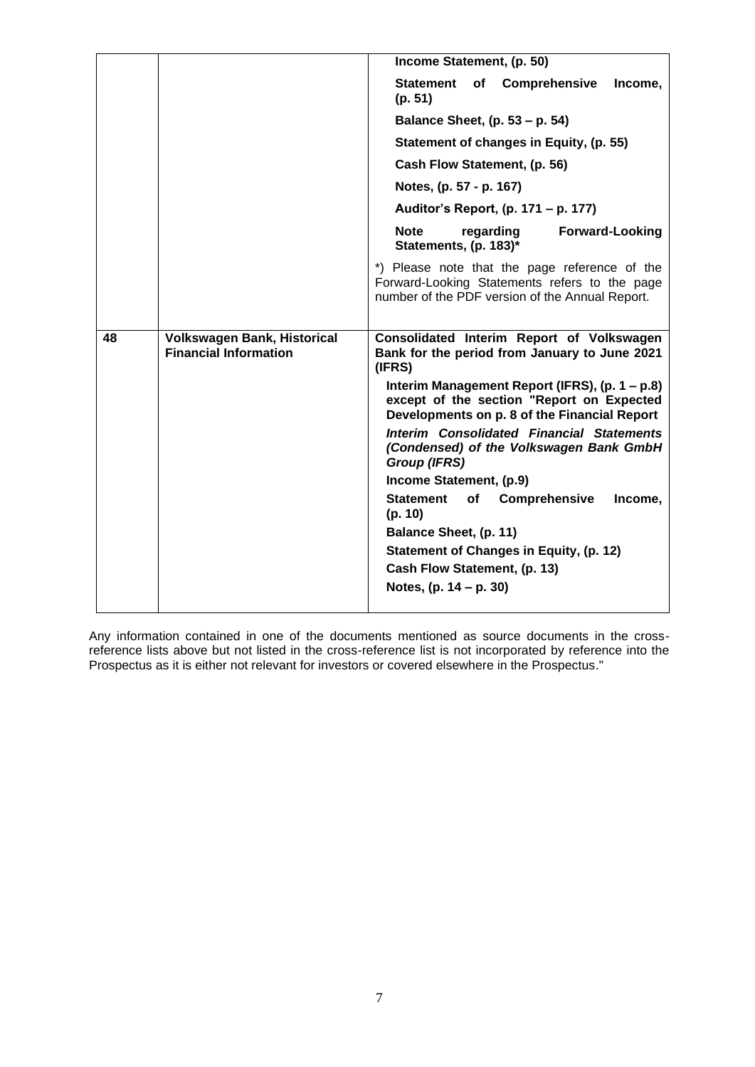|    |                                                                    | Income Statement, (p. 50)                                                                                                                             |
|----|--------------------------------------------------------------------|-------------------------------------------------------------------------------------------------------------------------------------------------------|
|    |                                                                    | <b>Statement</b><br>Comprehensive<br>of<br>Income,<br>(p. 51)                                                                                         |
|    |                                                                    | Balance Sheet, (p. 53 – p. 54)                                                                                                                        |
|    |                                                                    | Statement of changes in Equity, (p. 55)                                                                                                               |
|    |                                                                    | Cash Flow Statement, (p. 56)                                                                                                                          |
|    |                                                                    | Notes, (p. 57 - p. 167)                                                                                                                               |
|    |                                                                    | Auditor's Report, (p. 171 – p. 177)                                                                                                                   |
|    |                                                                    | <b>Note</b><br>regarding<br><b>Forward-Looking</b><br>Statements, (p. 183)*                                                                           |
|    |                                                                    | *) Please note that the page reference of the<br>Forward-Looking Statements refers to the page<br>number of the PDF version of the Annual Report.     |
|    |                                                                    |                                                                                                                                                       |
| 48 | <b>Volkswagen Bank, Historical</b><br><b>Financial Information</b> | Consolidated Interim Report of Volkswagen<br>Bank for the period from January to June 2021                                                            |
|    |                                                                    | (IFRS)<br>Interim Management Report (IFRS), (p. 1 - p.8)<br>except of the section "Report on Expected<br>Developments on p. 8 of the Financial Report |
|    |                                                                    | <b>Interim Consolidated Financial Statements</b><br>(Condensed) of the Volkswagen Bank GmbH<br><b>Group (IFRS)</b>                                    |
|    |                                                                    | Income Statement, (p.9)                                                                                                                               |
|    |                                                                    | <b>Statement</b><br>Comprehensive<br>оf<br>Income,<br>(p. 10)                                                                                         |
|    |                                                                    | Balance Sheet, (p. 11)                                                                                                                                |
|    |                                                                    | Statement of Changes in Equity, (p. 12)                                                                                                               |
|    |                                                                    | Cash Flow Statement, (p. 13)                                                                                                                          |
|    |                                                                    | Notes, $(p. 14 - p. 30)$                                                                                                                              |

Any information contained in one of the documents mentioned as source documents in the crossreference lists above but not listed in the cross-reference list is not incorporated by reference into the Prospectus as it is either not relevant for investors or covered elsewhere in the Prospectus."